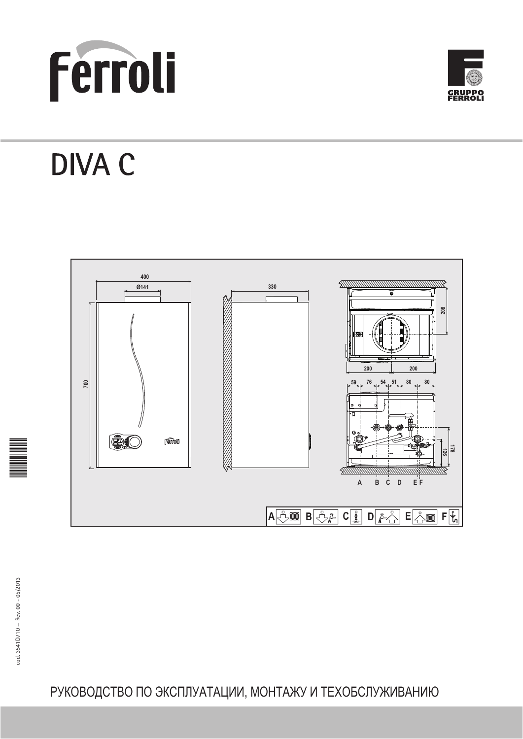



# **DIVA C**





# РУКОВОДСТВО ПО ЭКСПЛУАТАЦИИ, МОНТАЖУ И ТЕХОБСЛУЖИВАНИЮ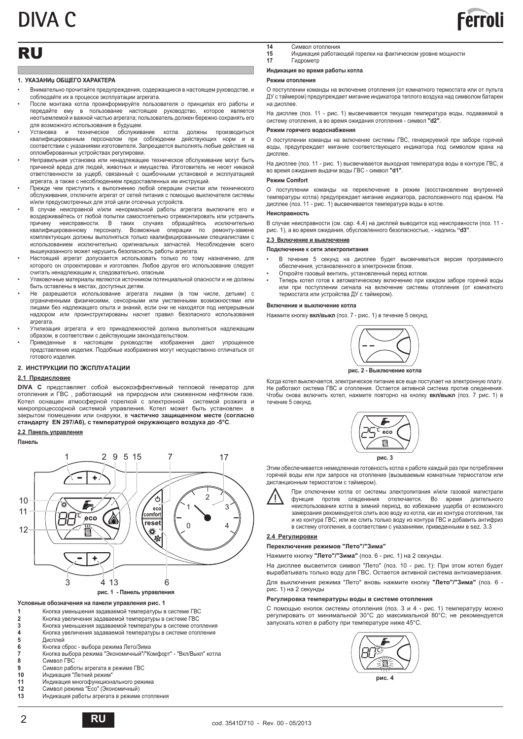# RU

#### 1. УКАЗАНИ<sub>Ч</sub> ОБШЕГО ХАРАКТЕРА

- Внимательно прочитайте предупреждения, содержащиеся в настоящем руководстве, и  $c$ облюдайте их в процессе эксплуатации агрегата
- После монтажа котла проинформируйте пользователя о принципах его работы и передайте ему в пользование настоящее руководство, которое является неотъемлемой и важной частью агрегата; пользователь должен бережно сохранять его для возможного использования в будущем.
- Установка и техническое обслуживание котла должны производиться квалифицированным персоналом при соблюдении действующих норм и в<br>соответствиисс указаниямиизготовителя. Запрещается выполнять любые действия на опломбированных устройствах регулировки.
- Неправильная установка или ненадлежащее техническое обслуживание могут быть причиной вреда для людей, животных и имущества. Изготовитель не несет никакой ответственности за ущерб, связанный с ошибочными установкой и эксплуатацией агрегата, а также с несоблюдением предоставленных им инструкций.
- Прежде чем приступить к выполнению любой операции очистки или технического обслуживания. отключите агрегат от сетей питания с помощью выключателя системы и/или предусмотренных для этой цели отсечных устройств.
- В случае неисправной и/или ненормальной работы агрегата выключите его и воздерживайтесь от любой попытки самостоятельно отремонтировать или устранить причину неисправности. В таких случаях обращайтесь исключительно<br>квалифицированному персоналу. Возможные операции по ремонту-замене комплектующих должны выполняться только квалифицированными специалистами с использованием исключительно оригинальных запчастей. Несоблюдение всего вышеуказанного может нарушить безопасность работы агрегата.
- Настоящий агрегат допускается использовать только по тому назначению, для которого он спроектирован и изготовлен. Любое другое его использование следует считать ненадлежащим и, следовательно, опасным
- Упаковочные материалы являются источником потенциальной опасности и не должны быть оставлены в местах, доступных детям.
- Не разрешается использование агрегата лицами (в том числе, детьми) с ограниченными физическими, сенсорными или умственными возможностями или лицами без надлежащего опыта и знаний, если они не находятся под непрерывным надзором или проинструктированы насчет правил безопасного использования агрегата.
- Утилизация агрегата и его принадлежностей должна выполняться надлежащим • иниведите в разнивать и в томана в толькодательством.<br>• образом, в соответствии с действующим законодательством.
- Приведенные в настоящем руководстве изображения дают упрощенное представление изделия. Подобные изображения могут несущественно отличаться от готового изделия

#### $2.$  ИНСТРУКЦИИ ПО ЭКСПЛУАТАЦИИ

#### 2.1 Предисловие

**DIVA С** представляет собой высокоэффективный тепловой генератор для отопления и ГВС, работающий на природном или сжиженном нефтяном газе. Котел оснащен атмосферной горелкой с электронной системой розжига и микропроцессорной системой управления. Котел может быть установлен закрытом помещении или снаружи, в частично защищенном месте (согласно  $c$ тандарту EN 297/A6), с температурой окружающего воздуха до -5°С.

### $2.2$  Панель управления

**Панель** 



рис. 1 - Панель управления

#### Условные обозначения на панели управления рис. 1

- **1** Кнопка уменьшения задаваемой температуры в системе ГВС
- **2** Кнопка увеличения задаваемой температуры в системе ГВС<br>3 Кнопка уменьшения задаваемой температуры в системе ото
- **3** Кнопка уменьшения задаваемой температуры в системе отопления<br>4 Кнопка увеличения задаваемой температуры в системе отопления **4** Кнопка увеличения задаваемой температуры в системе отопления<br>**5** Дисплей
- 
- **5** Дисплей<br>**6** Кнопка с Кнопка сброс - выбора режима Лето/Зима
- 7 Кнопка выбора режима "Экономичный"/"Комфорт" "Вкл/Выкл" котла
- 
- **8** Символ ГВС<br>9 Символ рабо **9** Символ работы агрегата в режиме ГВС<br>**10** Индикация "Летний режим"
- Индикация "Летний режим"
- **11** ɂɧɞɢɤɚɰɢɹ ɦɧɨɝɨɮɭɧɤɰɢɨɧɚɥɶɧɨɝɨ ɪɟɠɢɦɚ
- Символ режима "Есо" (Экономичный)
- 13 Индикация работы агрегата в режиме отопления
- **14** Символ отопления<br>**15** Индикация работа
- **15** Индикация работающей горелки на фактическом уровне мощности<br>17 Пидрометр  $\Gamma$ идрометр

#### **Индикация во время работы котла**

#### Режим отопления

О поступлении команды на включение отопления (от комнатного термостата или от пульта ДУ с таймером) предупреждает мигание индикатора теплого воздуха над символом батареи на дисплее

На дисплее (поз. 11 - рис. 1) высвечивается текущая температура воды, подаваемой в на дистинов (нести и теристи, в воения и телестиния, а воения отопления - символ "d2"

#### Режим горячего водоснабжения

О поступлении команды на включение системы ГВС, генерируемой при заборе горячей воды, предупреждает мигание соответствующего индикатора под символом крана на дисплее

На дисплее (поз. 11 - рис. 1) высвечивается выходная температура воды в контуре ГВС, a<br>во время ожидания выдачи воды ГВС - символ **"d1"**.

#### **Режим Comfort**

О поступлении команды на переключение в режим (восстановление внутренней температуры котла) предупреждает мигание индикатора, расположенного под краном. На дисплее (поз. 11 - рис. 1) высвечивается температура воды в котле.

#### **Неисправность**

В случае неисправности (см. сар. 4.4) на дисплей выводится код неисправности (поз. 11 рис. 1), а во время ожидания, обусловленного безопасностью, - надпись "d3".

#### $2.3$  Включение и выключение

#### Подключение к сети электропитания

- В течение 5 секунд на дисплее будет высвечиваться версия программного обеспечения, установленного в электронном блоке.
- Откройте газовый вентиль, установленный перед котлом.
- Теперь котел готов к автоматическому включению при каждом заборе горячей воды или при поступлении сигнала на включение системы отопления (от комнатного термостата или устройства ДУ с таймером).

#### Включение и выключение котла

Нажмите кнопку вкл/выкл (поз. 7 - рис. 1) в течение 5 секунд.



Когда котел выключается, электрическое питание все еще поступает на электронную плату. Не работают система ГВС и отопления. Остается активной система против оледенения Чтобы снова включить котел, нажмите повторно на кнопку вкл/выкл (поз. 7 рис. 1) в



Этим обеспечивается немедленная готовность котла к работе каждый раз при потреблении горячей воды или при запросе на отопление (вызываемым комнатным термостатом или дистанционным термостатом с таймером).



При отключении котла от системы электропитания и/или газовой магистрали<br>функция против оледенения отключается. Во время длительного функция против оледенения отключается. неиспользования котла в зимний период, во избежание ущерба от возможного замерзания рекомендуется слить всю воду из котла, как из контура отопления, так и из контура ГВС; или же слить только воду из контура ГВС и добавить антифриз в систему отопления, в соответствии с указаниями, приведенными в sez. 3.3

#### **4 Регулировки**

течение 5 секунд.

#### $\Pi$ ереключение режимов "Лето"/"Зима"

Нажмите кнопку "Лето"/"Зима" (поз. 6 - рис. 1) на 2 секунды.

На дисплее высветится символ "Лето" (поз. 10 - рис. 1): При этом котел будет вырабатывать только воду для ГВС. Остается активной система антизамерзания.

 $\Lambda$ ля выключения режима "Лето" вновь нажмите кнопку "Лето"/"Зима" (поз. 6 рис. 1) на 2 секунды

### Регулировка температуры воды в системе отопления

С помощью кнопок системы отопления (поз. 3 и 4 - рис. 1) температуру можно регулировать от минимальной 30°С до максимальной 80°С; не рекомендуется запускать котел в работу при температуре ниже 45°С.

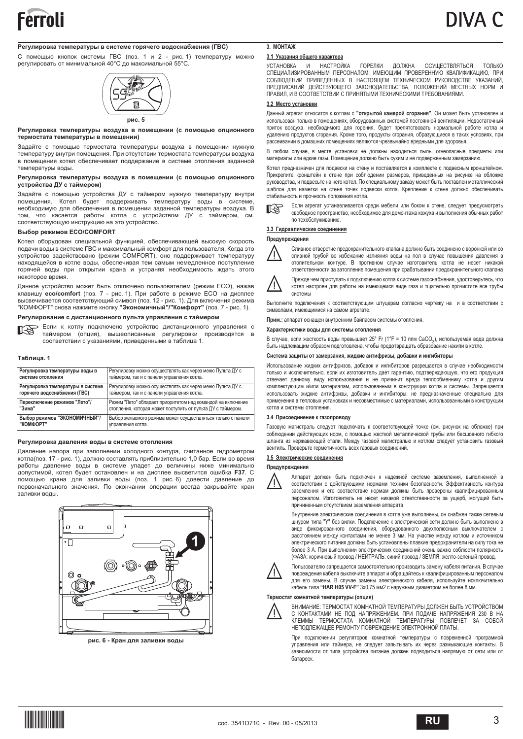# Регулировка температуры в системе горячего водоснабжения (ГВС)

С помощью кнопок системы ГВС (поз. 1 и 2 - рис. 1) температуру можно регулировать от минимальной 40°С до максимальной 55°С.



Регулировка температуры воздуха в помещении (с помощью опционного термостата температуры в помещении)

Задайте с помощью термостата температуры воздуха в помещении нужную температуру внутри помещения. При отсутствии термостата температуры воздуха в помешения котел обеспечивает поддержание в системе отопления заданной температуры воды.

#### Регулировка температуры воздуха в помещении (с помощью опционного  $y$ стройства ДУ с таймером)

Задайте с помощью устройства ДУ с таймером нужную температуру внутри<br>помещения. Котел будет поддерживать температуру воды в системе, необходимую для обеспечения в помещении заданной температуры воздуха. В том, что касается работы котла с устройством ДУ с таймером, см.<br>соответствующуюинструкциюна это устройство.

#### **Выбор режимов ECO/COMFORT**

Котел оборудован специальной функцией, обеспечивающей высокую скорость подачи воды в системе ГВС и максимальный комфорт для пользователя. Когда это устройство задействовано (режим COMFORT), оно поддерживает температуру находящейся в котле воды, обеспечивая тем самым немедленное поступление горячей воды при открытии крана и устраняя необходимость ждать этого некоторое время.

Данное устройство может быть отключено пользователем (режим ЕСО), нажав kлавишу eco/comfort (поз. 7 - рис. 1). При работе в режиме ЕСО на дисплее высвечивается соответствующий символ (поз. 12 - рис. 1). Для включения режима "КОМФОРТ" снова нажмите кнопку "Экономичный"/"Комфорт" (поз. 7 - рис. 1).

#### Регулирование с дистанционного пульта управления с таймером

Если к котлу подключено устройство дистанционного управления с таймером (опция), вышеописанные регулировки производятся в<br>соответствиисс указаниями,приведенными в таблица 1.

#### $Ta6n$ <sub>2112</sub> 1

| Регулировка температуры воды в    | Регулировку можно осуществлять как через меню Пульта ДУ с   |
|-----------------------------------|-------------------------------------------------------------|
| системе отопления                 | таймером, так и с панели управления котла.                  |
| Регулировка температуры в системе | Регулировку можно осуществлять как через меню Пульта ДУ с   |
| горячего водоснабжения (ГВС)      | таймером, так и с панели управления котла.                  |
| Переключение режимов "Лето"/      | Режим "Лето" обладает приоритетом над командой на включение |
| "Зима"                            | отопления, которая может поступить от пульта ДУ с таймером. |
| Выбор режимов "ЭКОНОМИЧНЫЙ"/      | Выбор желаемого режима может осуществляться только с панели |
| "КОМФОРТ"                         | управления котла.                                           |

#### $Pe$ гулировка давления воды в системе отопления

Лавление напора при заполнении холодного контура, считанное гидрометром котла(поз. 17 - рис. 1), должно составлять приблизительно 1,0 бар. Если во время работы давление воды в системе упадет до величины ниже минимально допустимой, котел будет остановлен и на дисплее высветится ошибка F37. С помощью крана для заливки воды (поз. 1 рис. 6) довести давление до первоначального значения. По окончании операции всегда закрывайте кран заливки волы



 $\mu$ ис. 6 - Кран для заливки воды

### 3. **MOHTAW**

# 3.1 Указания общего характера

УСТАНОВКА И НАСТРОИКА ГОРЕЛКИ ДОЛЖНА ОСУЩЕСТВЛЯТЬСЯ ТОЛЬКО<br>СПЕЦИАЛИЗИРОВАННЫМ ПЕРСОНАЛОМ, ИМЕЮЩИМ ПРОВЕРЕННУЮ КВАЛИФИКАЦИЮ, ПРИ СОЫІЮДЕНИИ ПРИВЕДЕННЫХ В НАСТОЯЩЕМ ТЕХНИЧЕСКОМ РУКОВОДСТВЕ УКАЗАНИИ.<br>ПРЕДПИСАНИЙ ДЕЙСТВУЮЩЕГО ЗАКОНОДАТЕЛЬСТВА, ПОЛОЖЕНИЙ МЕСТНЫХ НОРМ И ПРАВИЛ. И В СООТВЕТСТВИИ С ПРИНЯТЫМИ ТЕХНИЧЕСКИМИ ТРЕБОВАНИЯМИ.

#### $3.2$  **Место установки**

Данный агрегат относится к котлам с "открытой камерой сгорания". Он может быть установлен и давнов органие и технических и технических и технических и технических и технических и технических и технических приток воздуха, необходимого для горения, будет препятствовать нормальной работе котла и удалению продуктов сгорания. Кроме того, продукты сгорания, образующиеся в таких условиях, при рассеивании в домашних помещениях являются чрезвычайно вредными для здоровья

В любом случае, в месте установки не должны находиться пыль, огнеопасные предметы или материалы или едкие газы. Помешение должно быть сухим и не подверженным замерзанию.

Котел предназначен для подвески на стену и поставляется в комплекте с подвесным кронштейном. Прикрепите кронштейн к стене при соблюдении размеров, приведенных на рисунке на обложке руководства, и подвесьте на него котел. По специальному заказу может быть поставлен металлический шаблон для наметки на стене точек подвески котла. Крепление к стене должно обеспечивать стабильность и прочность положения котла.



<del>В № В</del> Если агрегат устанавливается среди мебели или боком к стене, следует предусмотреть свободное пространство, необходимое для демонтажа кожуха и выполнения обычных работ по техобслуживанию.

#### 3.3 Гидравлические соединения

#### Предупреждения



<u>АП У</u> сливное отверстие предохранительного клапана должно быть соединено с воронкой или со<br>• сливной трубой во избежание излияния воды на пол в случае повышения в авлетника<br>• отопительном контуре. В противном случае изг отопительном контуре. В противном случае изготовитель котла не несет никакой ответственности за затопление помещения при срабатывании предохранительного клапана

<u>/ ∩ Прежде чем приступать к подключению котла к системе газоснабжения, удостоверьтесь, что</u><br>котел настроен для работы на имеющемся виде газа и тщательно прочистите все трубь<br>системы системы

Выполните подключения к соответствующим штуцерам согласно чертежу на и в соответствии с символами, имеющимися на самом агрегате.

Прим.: аппарат оснащен внутренним байпасом системы отопления.

#### Характеристики воды для системы отопления

В случае, если жесткость воды превышает 25° Fr (1°F = 10 ппм СаСО<sub>3</sub>), используемая вода должна быть надлежащим образом подготовлена, чтобы предотвращать образование накипи в котле

#### Система защиты от замерзания, жидкие антифризы, добавки и ингибиторы

Использование жидких антифризов, добавок и ингибиторов разрешается в случае необходимости ТОЛЬКО И ИСКЛЮЧИТЕЛЬНО, ЕСЛИ ИХ ИЗГОТОВИТЕЛЬ ЛЭЕТ ГЭЛЭНТИЮ, ПОЛТВЕЛЖЛЭЮЩИЮ, ЧТО ЕГО ПЛОЛУКЦИЯ отвечает данному виду использования и не причинит вреда теплообменнику котла и другим комплектующим и/или материалам, использованным в конструкции котла и системы. Запрещается использовать жидкие антифризы, добавки и ингибиторы, не предназначенные специально для применения в тепловых установках и несовместимые с материалами, использованными в конструкции котла и системы отопления

#### 3.4 Присоединение к газопроводу

Газовую магистраль следует подключать к соответствующей точке (см. рисунок на обложке) при соблюдении действующих норм, с помощью жесткой металлической трубы или бесшовного гибкого шланга из нержавеющей стали. Между газовой магистралью и котлом следует установить газовый вентиль. Проверьте герметичность всех газовых соединений

#### $3$ лектрические соединения

#### Предупреждения

<u>А</u> Аппарат должен быть подключен к надежной системе заземления, выполненной в<br>«Вы соответствии с действующими нормами техники безопасности. Эффективность кантура<br>азаемления и его соответствие нормам должны быть провере 3аземления и его соответствие нормам лопжны быть проверены квалифицированным персоналом. Изготовитель не несет никакой ответственности за ушерб, могуший быть причиненным отсутствием заземления аппарата.

> Внутренние электрические соединения в котле уже выполнены, он снабжен также сетевым шнуром типа "Y" без вилки. Подключение к электрической сети должно быть выполнено в виде фиксированного соединения, оборудованного двухполюсным выключателем с расстоянием между контактами не менее 3 мм. На участке между котлом и источником алектрического литания должны быть установлены плавкие предохранители на силу тока не более 3 А. При выполнении электрических соединений очень важно соблюсти полярность (ФАЗА: коричневый провод / НЕЙТРАЛЬ: синий провод / ЗЕМЛЯ: желто-зеленый провод.



<u>А</u> Пользователю запрещается самостоятельно производить замену кабеля питания. В случае<br>повреждения кабеля выключите аппарат и обращайтесь к квалифицированным персоналом<br>для его замены. В случае замены электрического ка для его замены. В случае замены электрического кабеля, используйте исключительно кабель типа "HAR H05 VV-F" 3x0,75 мм2 с наружным диаметром не более 8 мм.

#### Термостат комнатной температуры (опция)



∕∧ ВНИМАНИЕ: ТЕРМОСТАТ КОМНАТНОИ ТЕМПЕРАТУРЫ ДОЛЖЕН БЫТЬ УСТРОИСТВОМ<br>С КОНТАКТАМИ НЕ ПОД НАПРЯЖЕНИЕМ. ТЕМПЕРАТУРЫ ПОВЛЕЧЕТ ЗА СОБОЙ KЛЕММЫ ТЕРМОСТАТА КОМНАТНОЙ ТЕМПЕРАТУРЫ ПОВЛЕЧЕТ ЗА СОБОЙ "НЕПОДЛЕЖАЩЕЕ РЕМОНТУ ПОВРЕЖДЕНИЕ ЭЛЕКТРОННОЙ ПЛАТЫ.

При подключении регуляторов комнатной температуры с повременной программой управления или таймера, не следует запытывать их через размыкающие контакты. В зависимости от типа устройства питание должен подводиться напрямую от сети или от батареек.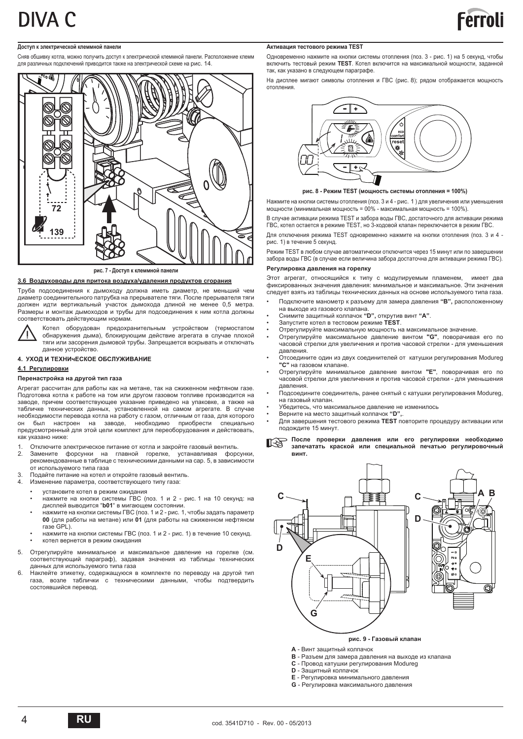# DIVA C



# $\overline{A}$ оступ к электрической клеммной панели

Сняв обшивку котла, можно получить доступ к электрической клеммной панели. Расположение клемм для различных подключений приводится также на электрической схеме на рис. 14.



рис. 7 - Доступ к клеммной панели

#### 3.6 Воздуховоды для притока воздуха/удаления продуктов сгорания

Труба подсоединения к дымоходу должна иметь диаметр, не меньший чем диаметр соединительного патрубка на прерывателе тяги. После прерывателя тяги должен идти вертикальный участок дымохода длиной не менее 0,5 метра. Размеры и монтаж дымоходов и трубы для подсоединения к ним котла должны соответствовать действующим нормам



Котел оборудован предохранительным устройством (термостатом обнаружения дыма), блокирующим действие агрегата в случае плохой тяги или засорения дымовой трубы. Запрещается вскрывать и отключать данное устройство.

#### $4.$  УХОД И ТЕХНИЧЕСКОЕ ОБСЛУЖИВАНИЕ

#### **4.1 Регулировки**

#### Перенастройка на другой тип газа

Агрегат рассчитан для работы как на метане, так на сжиженном нефтяном газе. Подготовка котла к работе на том или другом газовом топливе производится на заводе, причем соответствующее указание приведено на упаковке, а также на табличке технических данных, установленной на самом агрегате. В случае необходимости перевода котла на работу с газом, отличным от газа, для которого был настроен на заводе, необходимо приобрести специально предусмотренный для этой цели комплект для переоборудования и действовать, как указано ниже:

- 1. Отключите электрическое питание от котла и закройте газовый вентиль.<br>2. Замените в форсунки на главной горелке. устанавливая форс
- Замените форсунки на главной горелке, устанавливая форсунки, **TEROIST A TEXT AND THE CONSULTED A TEXT YOU HAVE SEE AN AREA HAVE THE VIOLET AND THE SEE ASSESS** OT ИСПОЛЬЗУЕМОГО ТИПА ГАЗА
- 3. Подайте питание на котел и откройте газовый вентиль.
- 4. Изменение параметра, соответствующего типу газа:
	- установите котел в режим ожидания
	- нажмите на кнопки системы ГВС (поз. 1 и 2 рис. 1 на 10 секунд: на Нажните на мнонки элотомы гве (нее: 1 и д
	- . .<br>нажмите на кнопки системы ГВС (поз. 1 и 2 рис. 1, чтобы задать параметр 00 (для работы на метане) или 01 (для работы на сжиженном нефтяном газе GPL).
	- нажмите на кнопки системы ГВС (поз. 1 и 2 рис. 1) в течение 10 секунд. котел вернется в режим ожидания
- 5. Отрегулируйте минимальное и максимальное давление на горелке (см. соответствующий параграф), задавая значения из таблицы технических данных для используемого типа газа
- 6. Наклейте этикетку, содержащуюся в комплекте по переводу на другой тип газа, возле таблички с техническими данными, чтобы подтвердить состоявшийся перевод.

#### **Ⱥɤɬɢɜɚɰɢɹ ɬɟɫɬɨɜɨɝɨ ɪɟɠɢɦɚ TEST**

Одновременно нажмите на кнопки системы отопления (поз. 3 - рис. 1) на 5 секунд, чтобы включить тестовый режим TEST. Котел включится на максимальной мощности, заданной так, как указано в следующем параграфе.

На дисплее мигают символы отопления и ГВС (рис. 8); рядом отображается мощность **ΩΤΩΠΑΡΗΜΑ** 



рис. 8 - Режим ТЕSТ (мощность системы отопления = 100%)

Нажмите на кнопки системы отопления (поз. 3 и 4 - рис. 1) для увеличения или уменьшения мощности (минимальная мощность = 00% - максимальная мощность = 100%)

В случае активации режима TEST и забора воды ГВС, достаточного для активации режима ГВС, котел остается в режиме ТЕST, но 3-ходовой клапан переключается в режим ГВС.

Лля отключения режима TEST одновременно нажмите на кнолки отопления (поз. 3 и 4 рис. 1) в течение 5 секунд.

Режим TEST в любом случае автоматически отключится через 15 минут или по завершении забора воды ГВС (в случае если величина забора достаточна для активации режима ГВС).

#### Регулировка давления на горелку

Этот агрегат, относящийся к типу с модулируемым пламенем, имеет два фиксированных значения давления: минимальное и максимальное. Эти значения следует взять из таблицы технических данных на основе используемого типа газа.

- Подключите манометр к разъему для замера давления "В", расположенному на выходе из газового клапана
- на ввигодо из тазового тианана.<br>Снимите защитный колпачок "D", открутив винт "A".
- Запустите котел в тестовом режиме **TEST**.
- Отрегулируйте максимальную мощность на максимальное значение.
- Отрегулируйте максимальное давление винтом "G", поворачивая его по часовой стрелки для увеличения и против часовой стрелки - для уменьшения давления.<br>• Отсоедините один из двух соединителей от катушки регулирования Modureg
- "C" на газовом клапане.
- Отрегулируйте минимальное давление винтом "E", поворачивая его по часовой стрелки для увеличения и против часовой стрелки - для уменьшения давления.
- Подсоедините соединитель, ранее снятый с катушки регулирования Modureg, на газовый клапан.
- Убедитесь, что максимальное давление не изменилось
- Верните на место защитный колпачок "D",
- Для завершения тестового режима TEST повторите процедуру активации или подождите 15 минут.





**ыис. 9 - Газовый клапан** 

- **A** Винт зашитный колпачок
- В Разъем для замера давления на выходе из клапана
- С Провод катушки регулирования Modureg
- **D** Защитный колпачок
- **E** Регулировка минимального давления
- **G** Регулировка максимального давления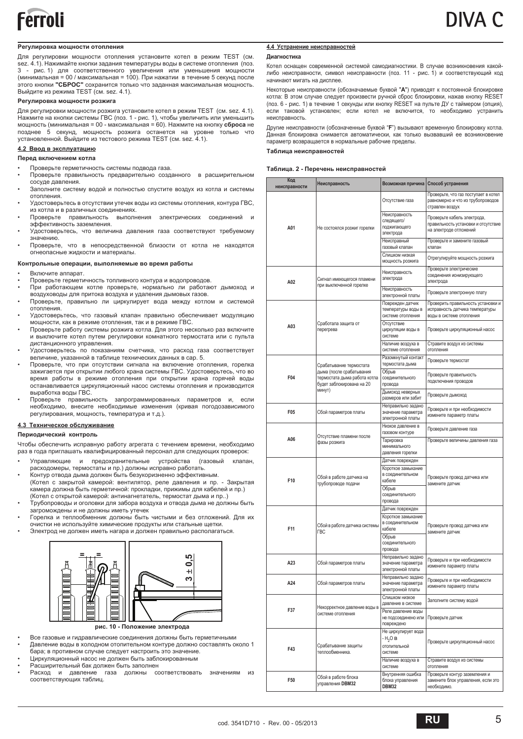# **Регулировка мощности отопления**

Для регулировки мощности отопления установите котел в режим TEST (см. деви грађања.<br>sez. 4.1). Нажимайте кнопки задания температуры воды в системе отопления (поз. 3 - рис. 1) для соответственного увеличения или уменьшения мощности (минимальная = 00 / максимальная = 100). При нажатии в течение 5 секунд после УНАНИЖЖЕНИЕ В ТО И В В ТИХ ВИЗОВНОГО В ТОЛЬКО ЧТО ЗАДАННАЯ МАКСИМАЛЬНАЯ МОЩНОСТЬ. STETE MISHIM TEST COMPONED TEST (СМ. Sez. 4.1).

### Регулировка мощности розжига

Для регулировки мощности розжига установите котел в режим TEST (см. sez. 4.1). Нажмите на кнопки системы ГВС (поз. 1 - рис. 1), чтобы увеличить или уменьшить мощность (минимальная = 00 - максимальная = 60). Нажмите на кнопку сброса не позднее 5 секунд, мощность розжига останется на уровне только что<br>установленной.Выйдите из тестового режима TEST (см. sez. 4.1).

# $4.2$  **Ввод в эксплуатацию**

### Перед включением котла

- Проверьте герметичность системы подвода газа.
- Проверьте правильность предварительно созданного в расширительном cocvде давления
- Заполните систему водой и полностью спустите воздух из котла и системы отопления.
- Удостоверьтесь в отсутствии утечек воды из системы отопления, контура ГВС, из котла и в различных соединениях.<br>Проверьте правильность выполн
- выполнения электрических соединений и эффективность заземления.
- Удостоверьтесь, что величина давления газа соответствуют требуемому **ЗНАЧАНИЮ**
- Проверьте, что в непосредственной близости от котла не находятся огнеопасные жидкости и материалы.

### Контрольные операции, выполняемые во время работы

- Включите аппарат.
- Проверьте герметичность топливного контура и водопроводов.
- При работающем котле проверьте, нормально ли работают дымоход и воздуховоды для притока воздуха и удаления дымовых газов. Проверьте, правильно ли циркулирует вода между котлом и системой
- отопления. Удостоверьтесь, что газовый клапан правильно обеспечивает модуляцию
- иощности, как в режиме отопления, так и в режиме ГВС.
- Проверьте работу системы розжига котла. Для этого несколько раз включите и выключите котел путем регулировки комнатного термостата или с пульта дистанционного управления.
- Удостоверьтесь по показаниям счетчика, что расход газа соответствует величине, указанной в таблице технических данных в сар. 5.
- Проверьте, что при отсутствии сигнала на включение отопления, горелка зажигается при открытии любого крана системы ГВС. Удостоверьтесь, что во время работы в режиме отопления при открытии крана горячей воды останавливается циркуляционный насос системы отопления и производится выработка воды ГВС.
- Проверьте правильность запрограммированных параметров и, если необходимо, внесите необходимые изменения (кривая погодозависимого регулирования, мощность, температура и т.д.).

# $4.3$  Техническое обслуживание

### Периодический контроль

Чтобы обеспечить исправную работу агрегата с течением времени, необходимо pas в года приглашать квалифицированный лерсонал для следующих проверок

- Управляющие и предохранительные устройства (газовый клапан, расходомеры, термостаты и пр.) должны исправно работать.
- Контур отвода дыма должен быть безукоризненно эффективным. (Котел с закрытой камерой: вентилятор, реле давления и пр. - Закрытая камера должна быть герметичной: прокладки, прижимы для кабелей и пр.) (Котел с открытой камерой: антинагнетатель, термостат дыма и пр..)
- трубопроводы и оголовки для забора воздуха и отвода дыма не должны быть загромождены и не должны иметь утечек
- Горелка и теплообменник должны быть чистыми и без отложений. Для их очистки не используйте химические продукты или стальные щетки.
- Электрод не должен иметь нагара и должен правильно располагаться.



- Все газовые и гидравлические соединения должны быть герметичными
- Давление воды в холодном отопительном контуре должно составлять около 1
- бара; в противном случае следует настроить это значение.
- Ширкуляционный насос не должен быть заблокированным Расширительный бак должен быть заполнен
- 
- Расход и давление газа должны соответствовать значениям из соответствующих таблиц.

# $4.4$  Устранение неисправностей

# Диагностика

Котел оснащен современной системой самодиагностики. В случае возникновения какойлибо неисправности, символ неисправности (поз. 11 - рис. 1) и соответствующий код начинают мигать на дисплее.

Некоторые неисправности (обозначаемые буквой "А") приводят к постоянной блокировке уже совета в совета и совета в совета в совета и совета и постоянной постоянной совета. (поз. 6 - рис. 1) в течение 1 секунды или кнопку RESET на пульте ДУ с таймером (опция), если таковой установлен; если котел не включится, то необходимо устранить неисправность.

Другие неисправности (обозначенные буквой "F") вызывают временную блокировку котла. Данная блокировка снимается автоматически, как только вызвавший ее возникновение параметр возвращается в нормальные рабочие пределы.

#### Таблица неисправностей

#### Таблица. 2 - Перечень неисправностей

| Код<br>неисправности | Неисправность                                                                                   | Возможная причина Способ устранения                                                                         |                                                                                                   |  |
|----------------------|-------------------------------------------------------------------------------------------------|-------------------------------------------------------------------------------------------------------------|---------------------------------------------------------------------------------------------------|--|
| A01                  |                                                                                                 | Отсутствие газа                                                                                             | Проверьте, что газ поступает в котел<br>равномерно и что из трубопроводов<br>стравлен воздух      |  |
|                      | Не состоялся розжиг горелки                                                                     | Неисправность<br>следящего/<br>поджигающего<br>электрода                                                    | Проверьте кабель электрода,<br>правильность установки и отсутствие<br>на электроде отложений      |  |
|                      |                                                                                                 | Неисправный<br>газовый клапан                                                                               | Проверьте и замените газовый<br>клапан                                                            |  |
|                      |                                                                                                 | Слишком низкая<br>мощность розжига                                                                          | Отрегулируйте мощность розжига                                                                    |  |
| A02                  | Сигнал имеющегося пламени<br>при выключенной горелке                                            | Неисправность<br>электрода                                                                                  | Проверьте электрические<br>соединения ионизирующего<br>электрода                                  |  |
|                      |                                                                                                 | Неисправность<br>электронной платы                                                                          | Проверьте электронную плату                                                                       |  |
| A03                  |                                                                                                 | Поврежден датчик<br>температуры воды в<br>системе отопления                                                 | Проверить правильность установки и<br>исправность датчика температуры<br>воды в системе отопления |  |
|                      | Сработала защита от<br>перегрева                                                                | Отсутствие<br>циркуляции воды в<br>системе                                                                  | Проверьте циркуляционный насос                                                                    |  |
|                      |                                                                                                 | Наличие воздуха в<br>системе отопления                                                                      | Стравите воздух из системы<br>отопления                                                           |  |
|                      | Срабатывание термостата                                                                         | Разомкнутый контакт<br>термостата дыма                                                                      | Проверьте термостат                                                                               |  |
| F04                  | дыма (после срабатывания<br>термостата дыма работа котла<br>будет заблокирована на 20<br>минут) | Обрыв<br>соединительного<br>провода                                                                         | Проверьте правильность<br>подключения проводов                                                    |  |
|                      |                                                                                                 | Дымоход неверных<br>размеров или забит                                                                      | Проверьте дымоход                                                                                 |  |
| F <sub>05</sub>      | Сбой параметров платы                                                                           | Неправильно задано<br>значение параметра<br>электронной платы                                               | Проверьте и при необходимости<br>измените параметр платы                                          |  |
| A06                  |                                                                                                 | Низкое давление в<br>газовом контуре                                                                        | Проверьте давление газа                                                                           |  |
|                      | Отсутствие пламени после<br>фазы розжига                                                        | Тарировка<br>минимального<br>давления горелки                                                               | Проверьте величины давления газа                                                                  |  |
| F10                  | Сбой в работе датчика на<br>трубопроводе подачи                                                 | Датчик поврежден<br>Короткое замыкание<br>в соединительном<br>кабеле<br>Обрыв<br>соединительного<br>провода | Проверьте провод датчика или<br>замените датчик                                                   |  |
|                      |                                                                                                 | Датчик поврежден                                                                                            | Проверьте провод датчика или<br>замените датчик                                                   |  |
| F11                  | Сбой в работе датчика системы<br><b>FBC</b>                                                     | Короткое замыкание<br>в соединительном<br>кабеле                                                            |                                                                                                   |  |
|                      |                                                                                                 | Обрыв<br>соединительного<br>провода                                                                         |                                                                                                   |  |
| A23                  | Сбой параметров платы                                                                           | Неправильно задано<br>значение параметра<br>электронной платы                                               | Проверьте и при необходимости<br>измените параметр платы                                          |  |
| A24                  | Сбой параметров платы                                                                           | Неправильно задано<br>значение параметра<br>электронной платы                                               | Проверьте и при необходимости<br>измените параметр платы                                          |  |
| F37                  | Некорректное давление воды в                                                                    | Слишком низкое<br>давление в системе                                                                        | Заполните систему водой                                                                           |  |
|                      | системе отопления                                                                               | Реле давление воды<br>не подсоединено или<br>повреждено                                                     | Проверьте датчик                                                                                  |  |
| F43                  |                                                                                                 | Не циркулирует вода<br>- Н,О В                                                                              |                                                                                                   |  |
|                      | Срабатывание защиты<br>теплообменника.                                                          | отопительной<br>системе                                                                                     | Проверьте циркуляционный насос                                                                    |  |
|                      |                                                                                                 | Наличие воздуха в<br>системе                                                                                | Стравите воздух из системы<br>отопления                                                           |  |
| F50                  | Сбой в работе блока<br>управления DBM32                                                         | Внутренняя ошибка<br>блока управления<br>DBM32                                                              | Проверьте контур заземления и<br>замените блок управления, если это<br>необходимо.                |  |

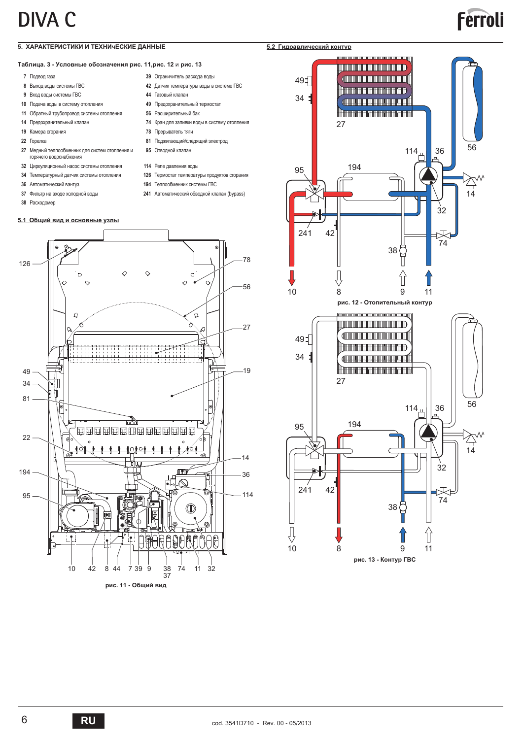# DIVA C

# $\overline{5}$ . ХАРАКТЕРИСТИКИ И ТЕХНИЧЕСКИЕ ДАННЫЕ

#### **Ɍɚɛɥɢɰɚ. 3 - ɍɫɥɨɜɧɵɟ ɨɛɨɡɧɚɱɟɧɢɹ ɪɢɫ. 11,ɪɢɫ. 12** ɢ **ɪɢɫ. 13**

- 
- 
- **9** Вход воды системы ГВС **44** Газовый клапан
- 
- **11** Обратный трубопровод системы отопления **56** Расширительный бак
- 
- **19** Камера сгорания **19 июль 78** Прерыватель тяги
- 
- 27 Медный теплообменник для систем отопления и торячего водоснабжения
- 32 **Пиркупяционный насос системы отопления 114** Реле давления воды
- 
- 36 Автоматический вантуз **194** Теплообменник системы ГВС
- 
- 38 Pacxogomep

#### **5.1 Общий вид и основные узлы**

- **7** Подвод газа **19 10 10 39 Ограничитель расхода воды**
- 8 Выход воды системы ГВС **42** Датчик температуры воды в системе ГВС
	-
- **10** Подача воды в систему отопления **19 июня 49** Предохранительный термостат
	-
- **14** Предохранительный клапан и и технологических и технологических города и технологических и технологических
	-
- **22** Горелка **12** 1 июля **81** Поджигающий/следящий электрод
	- **95** Отводной клапан
	-
- 34 Температурный датчик системы отопления **126** Термостат температуры продуктов сгорания
	-
- 37 Фильтр на входе холодной воды<br>**241** Автоматический обводной клапан (bypass)



 $5.2$  Гидравлический контур



**Ferroli** 

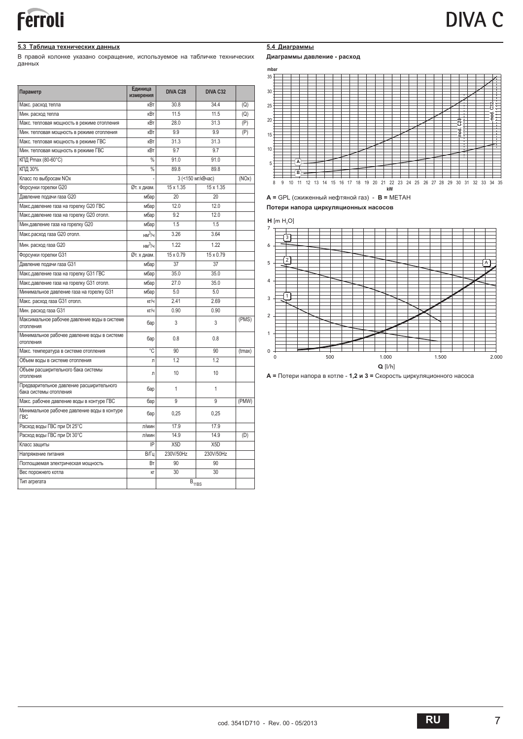# **5.3 Таблица технических данных**

В правой колонке указано сокращение, используемое на табличке технических данных

| Параметр                                                           | Единица<br>измерения | <b>DIVA C28</b>   | DIVA C32         |        |
|--------------------------------------------------------------------|----------------------|-------------------|------------------|--------|
| Макс. расход тепла                                                 | кВт                  | 30.8              | 34.4             | (Q)    |
| Мин. расход тепла                                                  | кВт                  | 11.5              | 11.5             | (Q)    |
| Макс. тепловая мощность в режиме отопления                         | кВт                  | 28.0              | 31.3             | (P)    |
| Мин. тепловая мощность в режиме отопления                          | кВт                  | 9.9               | 9.9              | (P)    |
| Макс. тепловая мощность в режиме ГВС                               | KBT                  | 31.3              | 31.3             |        |
| Мин. тепловая мощность в режиме ГВС                                | KBT                  | 9.7               | 9.7              |        |
| КПД Ртах (80-60°С)                                                 | $\%$                 | 91.0              | 91.0             |        |
| <b>КПД 30%</b>                                                     | $\frac{0}{0}$        | 89.8              | 89.8             |        |
| Класс по выбросам NOх                                              |                      | 3 (<150 мг/кВчас) |                  | (NOx)  |
| Форсунки горелки G20                                               | Øт. х диам.          | 15 x 1.35         | 15 x 1.35        |        |
| Давление подачи газа G20                                           | мбар                 | 20                | 20               |        |
| Макс.давление газа на горелку G20 ГВС                              | мбар                 | 12.0              | 12.0             |        |
| Макс.давление газа на горелку G20 отопл.                           | мбар                 | 92                | 12.0             |        |
| Мин.давление газа на горелку G20                                   | мбар                 | 1.5               | 1.5              |        |
| Макс.расход газа G20 отопл.                                        | нм $3/4$             | 3.26              | 3.64             |        |
| Мин. расход газа G20                                               | HM <sup>3</sup> /4   | 1.22              | 1.22             |        |
| Форсунки горелки G31                                               | Øт. х диам.          | 15 x 0.79         | 15 x 0.79        |        |
| Давление подачи газа G31                                           | мбар                 | 37                | 37               |        |
| Макс.давление газа на горелку G31 ГВС                              | мбар                 | 35.0              | 35.0             |        |
| Макс.давление газа на горелку G31 отопл.                           | мбар                 | 27.0              | 35.0             |        |
| Минимальное давление газа на горелку G31                           | мбар                 | 5.0               | 5.0              |        |
| Макс. расход газа G31 отопл.                                       | KT/4                 | 2.41              | 2.69             |        |
| Мин. расход газа G31                                               | KT/4                 | 0.90              | 0.90             |        |
| Максимальное рабочее давление воды в системе<br>отопления          | бар                  | 3                 | 3                | (PMS)  |
| Минимальное рабочее давление воды в системе<br>отопления           | бар                  | 0.8               | 0.8              |        |
| Макс. температура в системе отопления                              | °C                   | 90                | 90               | (tmax) |
| Объем воды в системе отопления                                     | Л                    | 1.2               | 1.2              |        |
| Объем расширительного бака системы<br>отопления                    | Л                    | 10                | 10               |        |
| Предварительное давление расширительного<br>бака системы отопления | бар                  | $\mathbf{1}$      | $\mathbf{1}$     |        |
| Макс. рабочее давление воды в контуре ГВС                          | бар                  | 9                 | 9                | (PMW)  |
| Минимальное рабочее давление воды в контуре<br><b>FBC</b>          | бар                  | 0.25              | 0.25             |        |
| Расход воды ГВС при Dt 25°С                                        | л/мин                | 17.9              | 17.9             |        |
| Расход воды ГВС при Dt 30°С                                        | л/мин                | 14.9              | 14.9             | (D)    |
| Класс защиты                                                       | IP                   | X <sub>5</sub> D  | X <sub>5</sub> D |        |
| Напряжение питания                                                 | В/Гц                 | 230V/50Hz         | 230V/50Hz        |        |
| Поглощаемая электрическая мощность                                 | Bт                   | 90                | 90               |        |
| Вес порожнего котла                                                | KГ                   | 30                | 30               |        |
| Тип агрегата                                                       |                      | $B_{11BS}$        |                  |        |

# **5.4 Диаграммы**

**Ⱦɢɚɝɪɚɦɦɵ ɞɚɜɥɟɧɢɟ - ɪɚɫɯɨɞ**



**A** = GPL (сжиженный нефтяной газ) - **B** = METAH

Потери напора циркуляционных насосов



А = Потери напора в котле - 1,2 и 3 = Скорость циркуляционного насоса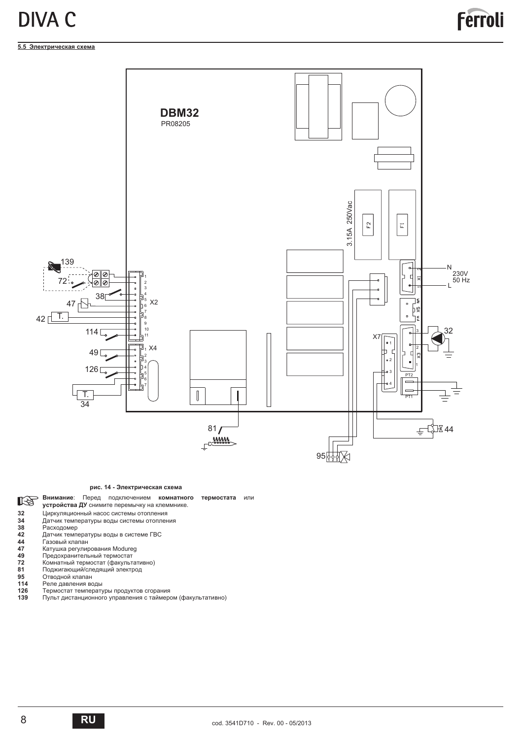# **5.5** Электрическая схема



#### **рис. 14 - Электрическая схема**

**Е№ Внимание:** Перед подключением комнатного термостата или<br> **32** Циркуляционный насос системы отопления<br>
34 Датчик температуры воды системы отопления<br>
2 Датчик температуры воды системы отопления<br>
2 Датчик температуры вод

- устройства ДУ снимите перемычку на клеммнике.
- Циркуляционный насос системы отопления
- **34** Иатчик температуры воды системы отопления<br>**38** Авсходомер
- 
- Датчик температуры воды в системе ГВС
- Назовый клапан
- Катушка регулирования Modureg
- Предохранительный термостат
- 72 Комнатный термостат (факультативно)<br>81 Поджигающий/следящий электрод
- 
- Реле давления воды
- **95** Отводной клапан<br> **114** Реле давления вс<br> **126** Термостат темпер Термостат температуры продуктов сгорания
- 139 Пульт дистанционного управления с таймером (факультативно)